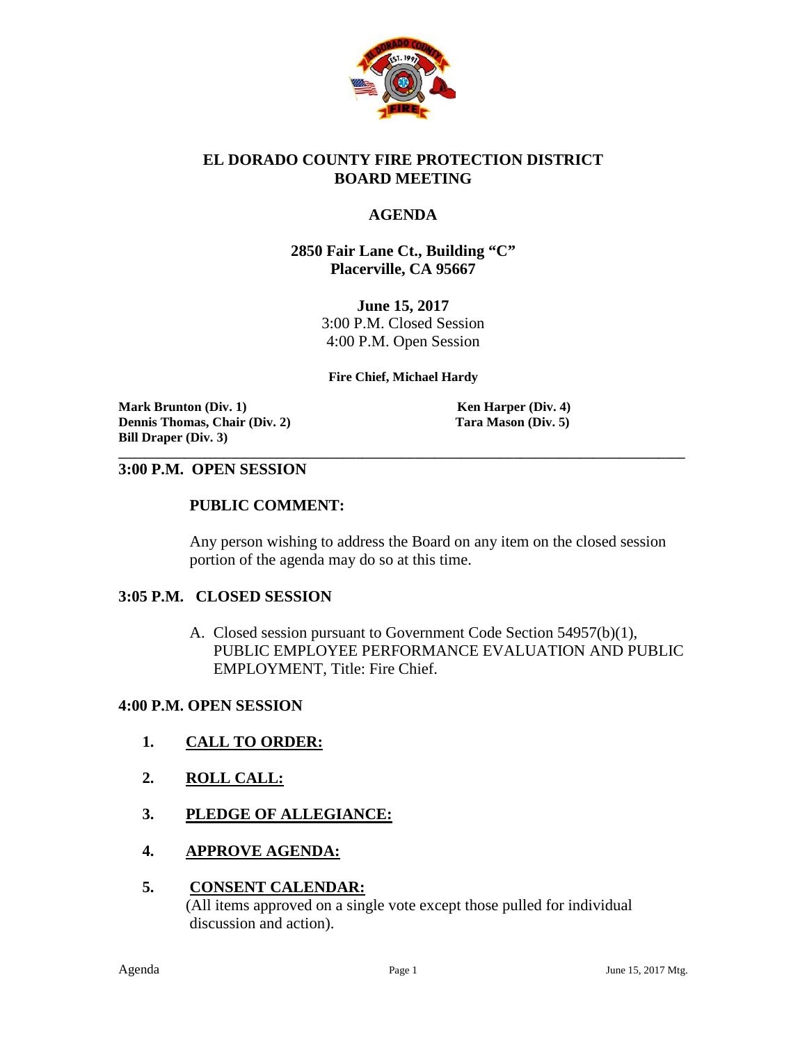

#### **EL DORADO COUNTY FIRE PROTECTION DISTRICT BOARD MEETING**

#### **AGENDA**

#### **2850 Fair Lane Ct., Building "C" Placerville, CA 95667**

**June 15, 2017** 3:00 P.M. Closed Session 4:00 P.M. Open Session

#### **Fire Chief, Michael Hardy**

**\_\_\_\_\_\_\_\_\_\_\_\_\_\_\_\_\_\_\_\_\_\_\_\_\_\_\_\_\_\_\_\_\_\_\_\_\_\_\_\_\_\_\_\_\_\_\_\_\_\_\_\_\_\_\_\_\_\_\_\_\_\_\_\_\_\_\_\_\_\_\_\_\_\_\_\_\_\_\_\_\_\_\_\_\_\_**

**Mark Brunton (Div. 1)**<br> **Mark Brunton (Div. 2)**<br> **Contains Thomas, Chair (Div. 2)**<br> **Contains Thomas, Chair (Div. 2)**<br> **Contains Thomas, Chair (Div. 2) Dennis Thomas, Chair (Div. 2) Bill Draper (Div. 3)**

#### **3:00 P.M. OPEN SESSION**

#### **PUBLIC COMMENT:**

Any person wishing to address the Board on any item on the closed session portion of the agenda may do so at this time.

#### **3:05 P.M. CLOSED SESSION**

A. Closed session pursuant to Government Code Section 54957(b)(1), PUBLIC EMPLOYEE PERFORMANCE EVALUATION AND PUBLIC EMPLOYMENT, Title: Fire Chief.

#### **4:00 P.M. OPEN SESSION**

- **1. CALL TO ORDER:**
- **2. ROLL CALL:**
- **3. PLEDGE OF ALLEGIANCE:**
- **4. APPROVE AGENDA:**

#### **5. CONSENT CALENDAR:**

 (All items approved on a single vote except those pulled for individual discussion and action).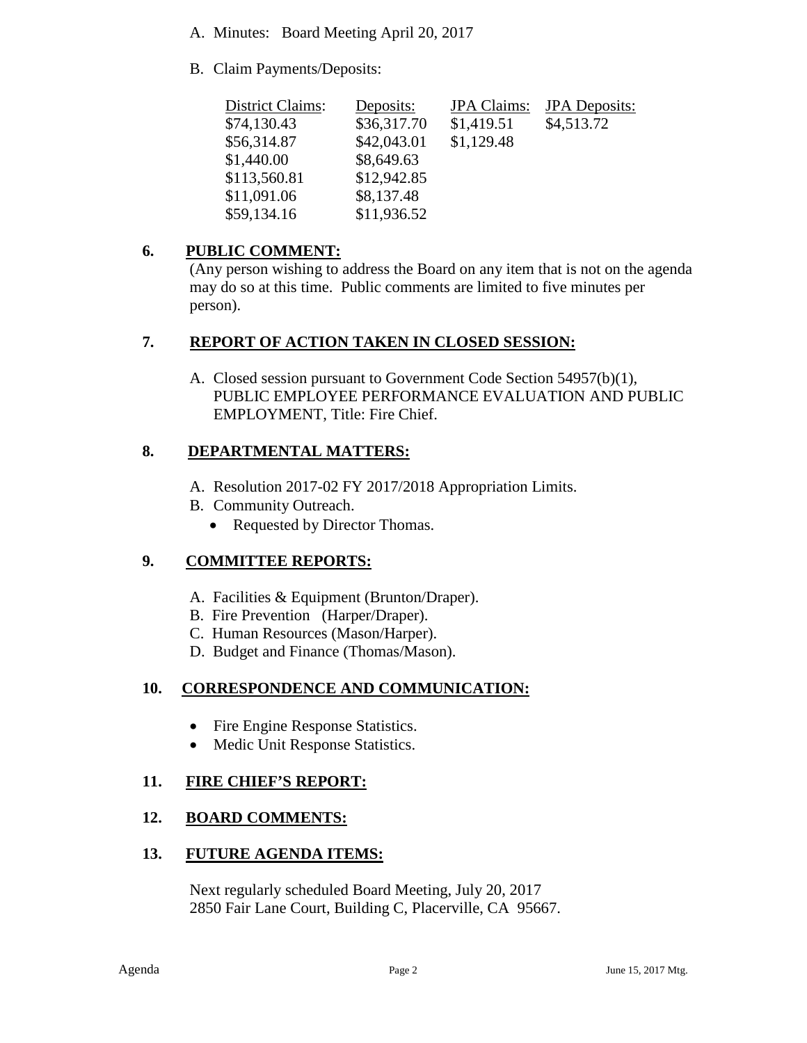- A. Minutes: Board Meeting April 20, 2017
- B. Claim Payments/Deposits:

| District Claims: | Deposits:   | <b>JPA</b> Claims: | <b>JPA</b> Deposits: |
|------------------|-------------|--------------------|----------------------|
| \$74,130.43      | \$36,317.70 | \$1,419.51         | \$4,513.72           |
| \$56,314.87      | \$42,043.01 | \$1,129.48         |                      |
| \$1,440.00       | \$8,649.63  |                    |                      |
| \$113,560.81     | \$12,942.85 |                    |                      |
| \$11,091.06      | \$8,137.48  |                    |                      |
| \$59,134.16      | \$11,936.52 |                    |                      |

## **6. PUBLIC COMMENT:**

(Any person wishing to address the Board on any item that is not on the agenda may do so at this time. Public comments are limited to five minutes per person).

## **7. REPORT OF ACTION TAKEN IN CLOSED SESSION:**

A. Closed session pursuant to Government Code Section 54957(b)(1), PUBLIC EMPLOYEE PERFORMANCE EVALUATION AND PUBLIC EMPLOYMENT, Title: Fire Chief.

## **8. DEPARTMENTAL MATTERS:**

- A. Resolution 2017-02 FY 2017/2018 Appropriation Limits.
- B. Community Outreach.
	- Requested by Director Thomas.

# **9. COMMITTEE REPORTS:**

- A. Facilities & Equipment (Brunton/Draper).
- B. Fire Prevention (Harper/Draper).
- C. Human Resources (Mason/Harper).
- D. Budget and Finance (Thomas/Mason).

# **10. CORRESPONDENCE AND COMMUNICATION:**

- Fire Engine Response Statistics.
- Medic Unit Response Statistics.

### **11. FIRE CHIEF'S REPORT:**

### **12. BOARD COMMENTS:**

### **13. FUTURE AGENDA ITEMS:**

 Next regularly scheduled Board Meeting, July 20, 2017 2850 Fair Lane Court, Building C, Placerville, CA 95667.